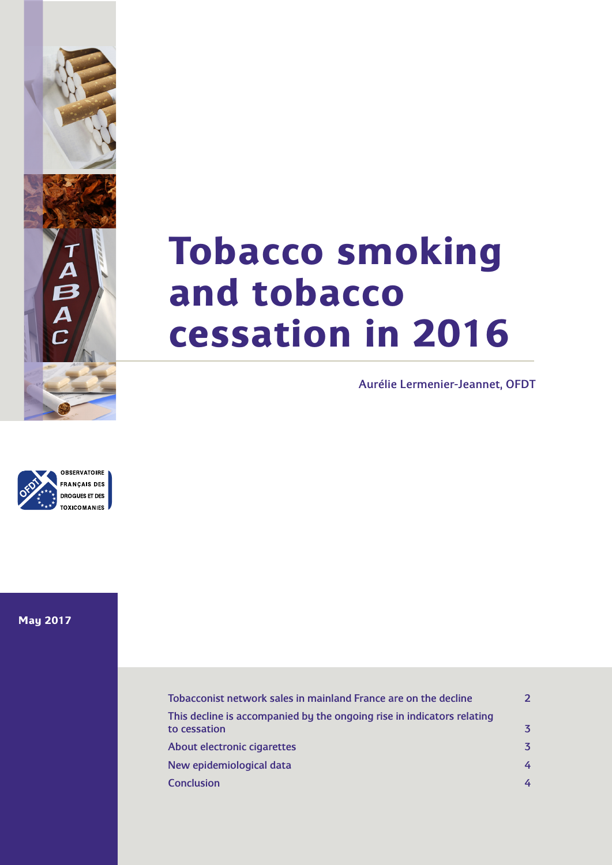

# **Tobacco smoking and tobacco cessation in 2016**

Aurélie Lermenier-Jeannet, OFDT



**May 2017**

| Tobacconist network sales in mainland France are on the decline                        | $\overline{\mathcal{L}}$ |
|----------------------------------------------------------------------------------------|--------------------------|
| This decline is accompanied by the ongoing rise in indicators relating<br>to cessation | 3                        |
| About electronic cigarettes                                                            | 3                        |
| New epidemiological data                                                               | 4                        |
| <b>Conclusion</b>                                                                      |                          |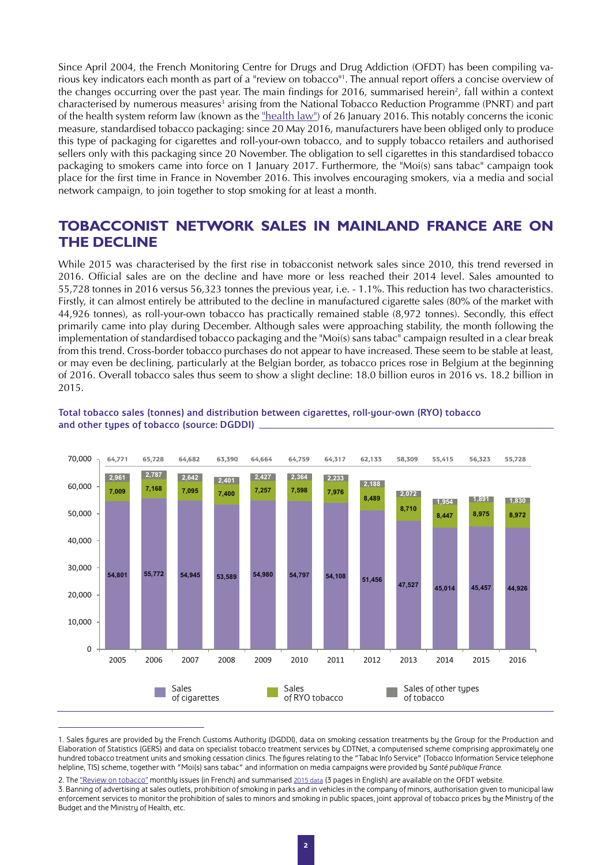<span id="page-1-0"></span>Since April 2004, the French Monitoring Centre for Drugs and Drug Addiction (OFDT) has been compiling various key indicators each month as part of a "review on tobacco"1 . The annual report offers a concise overview of the changes occurring over the past year. The main findings for 2016, summarised herein<sup>2</sup>, fall within a context characterised by numerous measures<sup>3</sup> arising from the National Tobacco Reduction Programme (PNRT) and part of the health system reform law (known as the ["health law"\)](http://bdoc.ofdt.fr/index.php?lvl=notice_display&id=76867) of 26 January 2016. This notably concerns the iconic measure, standardised tobacco packaging: since 20 May 2016, manufacturers have been obliged only to produce this type of packaging for cigarettes and roll-your-own tobacco, and to supply tobacco retailers and authorised sellers only with this packaging since 20 November. The obligation to sell cigarettes in this standardised tobacco packaging to smokers came into force on 1 January 2017. Furthermore, the "Moi(s) sans tabac" campaign took place for the first time in France in November 2016. This involves encouraging smokers, via a media and social network campaign, to join together to stop smoking for at least a month.

## **TOBACCONIST NETWORK SALES IN MAINLAND FRANCE ARE ON THE DECLINE**

While 2015 was characterised by the first rise in tobacconist network sales since 2010, this trend reversed in 2016. Official sales are on the decline and have more or less reached their 2014 level. Sales amounted to 55,728 tonnes in 2016 versus 56,323 tonnes the previous year, i.e. - 1.1%. This reduction has two characteristics. Firstly, it can almost entirely be attributed to the decline in manufactured cigarette sales (80% of the market with 44,926 tonnes), as roll-your-own tobacco has practically remained stable (8,972 tonnes). Secondly, this effect primarily came into play during December. Although sales were approaching stability, the month following the implementation of standardised tobacco packaging and the "Moi(s) sans tabac" campaign resulted in a clear break from this trend. Cross-border tobacco purchases do not appear to have increased. These seem to be stable at least, or may even be declining, particularly at the Belgian border, as tobacco prices rose in Belgium at the beginning of 2016. Overall tobacco sales thus seem to show a slight decline: 18.0 billion euros in 2016 vs. 18.2 billion in 2015.



#### Total tobacco sales (tonnes) and distribution between cigarettes, roll-your-own (RYO) tobacco and other types of tobacco (source: DGDDI)

<sup>1.</sup> Sales figures are provided by the French Customs Authority (DGDDI), data on smoking cessation treatments by the Group for the Production and Elaboration of Statistics (GERS) and data on specialist tobacco treatment services by CDTNet, a computerised scheme comprising approximately one hundred tobacco treatment units and smoking cessation clinics. The figures relating to the "Tabac Info Service" (Tobacco Information Service telephone helpline, TIS) scheme, together with "Moi(s) sans tabac" and information on media campaigns were provided by *Santé publique France*.

<sup>2.</sup> The ["Review on tobacco"](http://www.ofdt.fr/statistiques-et-infographie/tableau-de-bord-tabac/) monthly issues (in French) and summarised [2015 data](http://en.ofdt.fr/BDD/publications/docs/tt_15bilEN.pdf) (3 pages in English) are available on the OFDT website.

<sup>3.</sup> Banning of advertising at sales outlets, prohibition of smoking in parks and in vehicles in the company of minors, authorisation given to municipal law enforcement services to monitor the prohibition of sales to minors and smoking in public spaces, joint approval of tobacco prices by the Ministry of the Budget and the Ministry of Health, etc.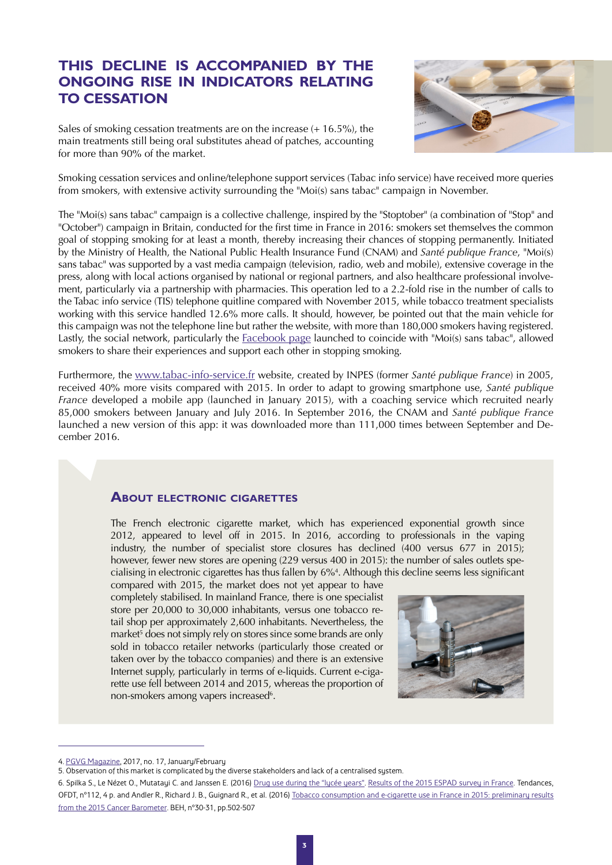# <span id="page-2-0"></span>**THIS DECLINE IS ACCOMPANIED BY THE ONGOING RISE IN INDICATORS RELATING TO CESSATION**

Sales of smoking cessation treatments are on the increase (+ 16.5%), the main treatments still being oral substitutes ahead of patches, accounting for more than 90% of the market.



Smoking cessation services and online/telephone support services (Tabac info service) have received more queries from smokers, with extensive activity surrounding the "Moi(s) sans tabac" campaign in November.

The "Moi(s) sans tabac" campaign is a collective challenge, inspired by the "Stoptober" (a combination of "Stop" and "October") campaign in Britain, conducted for the first time in France in 2016: smokers set themselves the common goal of stopping smoking for at least a month, thereby increasing their chances of stopping permanently. Initiated by the Ministry of Health, the National Public Health Insurance Fund (CNAM) and *Santé publique France*, "Moi(s) sans tabac" was supported by a vast media campaign (television, radio, web and mobile), extensive coverage in the press, along with local actions organised by national or regional partners, and also healthcare professional involvement, particularly via a partnership with pharmacies. This operation led to a 2.2-fold rise in the number of calls to the Tabac info service (TIS) telephone quitline compared with November 2015, while tobacco treatment specialists working with this service handled 12.6% more calls. It should, however, be pointed out that the main vehicle for this campaign was not the telephone line but rather the website, with more than 180,000 smokers having registered. Lastly, the social network, particularly the [Facebook page](https://www.facebook.com/Tabac-info-service-664008670433969/?fref=ts) launched to coincide with "Moi(s) sans tabac", allowed smokers to share their experiences and support each other in stopping smoking.

Furthermore, the [www.tabac-info-service.fr](http://www.tabac-info-service.fr) website, created by INPES (former *Santé publique France*) in 2005, received 40% more visits compared with 2015. In order to adapt to growing smartphone use, *Santé publique France* developed a mobile app (launched in January 2015), with a coaching service which recruited nearly 85,000 smokers between January and July 2016. In September 2016, the CNAM and *Santé publique France* launched a new version of this app: it was downloaded more than 111,000 times between September and December 2016.

## **About electronic cigarettes**

The French electronic cigarette market, which has experienced exponential growth since 2012, appeared to level off in 2015. In 2016, according to professionals in the vaping industry, the number of specialist store closures has declined (400 versus 677 in 2015); however, fewer new stores are opening (229 versus 400 in 2015): the number of sales outlets specialising in electronic cigarettes has thus fallen by 6%4 . Although this decline seems less significant

compared with 2015, the market does not yet appear to have completely stabilised. In mainland France, there is one specialist store per 20,000 to 30,000 inhabitants, versus one tobacco retail shop per approximately 2,600 inhabitants. Nevertheless, the market<sup>5</sup> does not simply rely on stores since some brands are only sold in tobacco retailer networks (particularly those created or taken over by the tobacco companies) and there is an extensive Internet supply, particularly in terms of e-liquids. Current e-cigarette use fell between 2014 and 2015, whereas the proportion of non-smokers among vapers increased<sup>6</sup>.



<sup>4.</sup> [PGVG Magazine,](http://www.pgvg.fr/en/) 2017, no. 17, January/February

<sup>5.</sup> Observation of this market is complicated by the diverse stakeholders and lack of a centralised system.

<sup>6.</sup> Spilka S., Le Nézet O., Mutatayi C. and Janssen E. (2016) [Drug use during the "lycée years". Results of the 2015 ESPAD survey in France](http://en.ofdt.fr/index.php?cID=306). Tendances, OFDT, n°112, 4 p. and Andler R., Richard J. B., Guignard R., et al. (2016) [Tobacco consumption and e-cigarette use in France in 2015: preliminary results](http://invs.santepubliquefrance.fr/beh/2016/30-31/2016_30-31_3.html)  [from the 2015 Cancer Barometer](http://invs.santepubliquefrance.fr/beh/2016/30-31/2016_30-31_3.html). BEH, n°30-31, pp.502-507